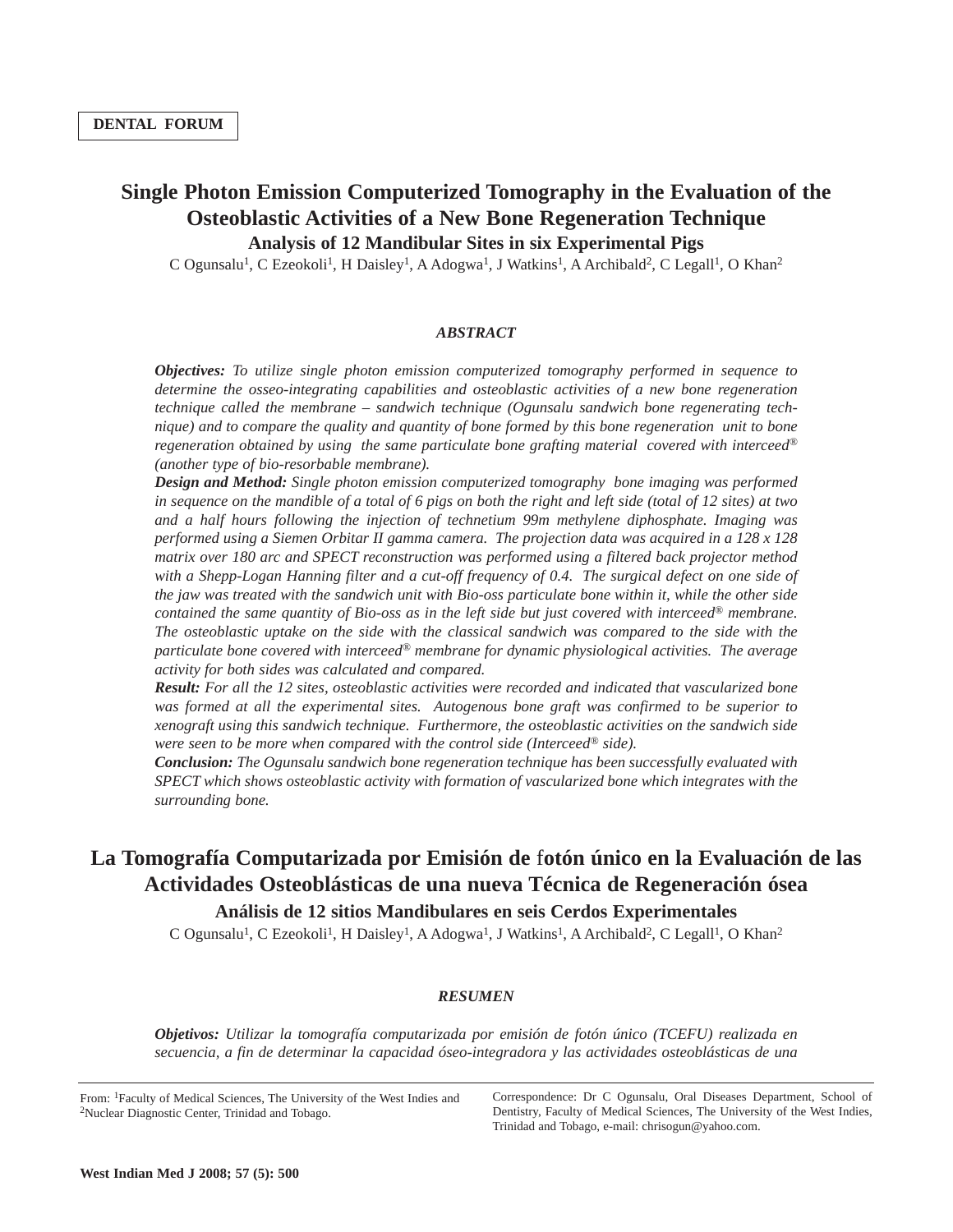## **Single Photon Emission Computerized Tomography in the Evaluation of the Osteoblastic Activities of a New Bone Regeneration Technique Analysis of 12 Mandibular Sites in six Experimental Pigs**

C Ogunsalu<sup>1</sup>, C Ezeokoli<sup>1</sup>, H Daisley<sup>1</sup>, A Adogwa<sup>1</sup>, J Watkins<sup>1</sup>, A Archibald<sup>2</sup>, C Legall<sup>1</sup>, O Khan<sup>2</sup>

## *ABSTRACT*

*Objectives: To utilize single photon emission computerized tomography performed in sequence to determine the osseo-integrating capabilities and osteoblastic activities of a new bone regeneration technique called the membrane – sandwich technique (Ogunsalu sandwich bone regenerating technique) and to compare the quality and quantity of bone formed by this bone regeneration unit to bone regeneration obtained by using the same particulate bone grafting material covered with interceed® (another type of bio-resorbable membrane).* 

*Design and Method: Single photon emission computerized tomography bone imaging was performed in sequence on the mandible of a total of 6 pigs on both the right and left side (total of 12 sites) at two and a half hours following the injection of technetium 99m methylene diphosphate. Imaging was performed using a Siemen Orbitar II gamma camera. The projection data was acquired in a 128 x 128 matrix over 180 arc and SPECT reconstruction was performed using a filtered back projector method with a Shepp-Logan Hanning filter and a cut-off frequency of 0.4. The surgical defect on one side of the jaw was treated with the sandwich unit with Bio-oss particulate bone within it, while the other side contained the same quantity of Bio-oss as in the left side but just covered with interceed® membrane. The osteoblastic uptake on the side with the classical sandwich was compared to the side with the particulate bone covered with interceed® membrane for dynamic physiological activities. The average activity for both sides was calculated and compared.*

*Result: For all the 12 sites, osteoblastic activities were recorded and indicated that vascularized bone was formed at all the experimental sites. Autogenous bone graft was confirmed to be superior to xenograft using this sandwich technique. Furthermore, the osteoblastic activities on the sandwich side were seen to be more when compared with the control side (Interceed® side).*

*Conclusion: The Ogunsalu sandwich bone regeneration technique has been successfully evaluated with SPECT which shows osteoblastic activity with formation of vascularized bone which integrates with the surrounding bone.*

# **La Tomografía Computarizada por Emisión de** f**otón único en la Evaluación de las Actividades Osteoblásticas de una nueva Técnica de Regeneración ósea**

## **Análisis de 12 sitios Mandibulares en seis Cerdos Experimentales**

C Ogunsalu<sup>1</sup>, C Ezeokoli<sup>1</sup>, H Daisley<sup>1</sup>, A Adogwa<sup>1</sup>, J Watkins<sup>1</sup>, A Archibald<sup>2</sup>, C Legall<sup>1</sup>, O Khan<sup>2</sup>

#### *RESUMEN*

*Objetivos: Utilizar la tomografía computarizada por emisión de fotón único (TCEFU) realizada en secuencia, a fin de determinar la capacidad óseo-integradora y las actividades osteoblásticas de una*

From: 1Faculty of Medical Sciences, The University of the West Indies and 2Nuclear Diagnostic Center, Trinidad and Tobago.

Correspondence: Dr C Ogunsalu, Oral Diseases Department, School of Dentistry, Faculty of Medical Sciences, The University of the West Indies, Trinidad and Tobago, e-mail: chrisogun@yahoo.com.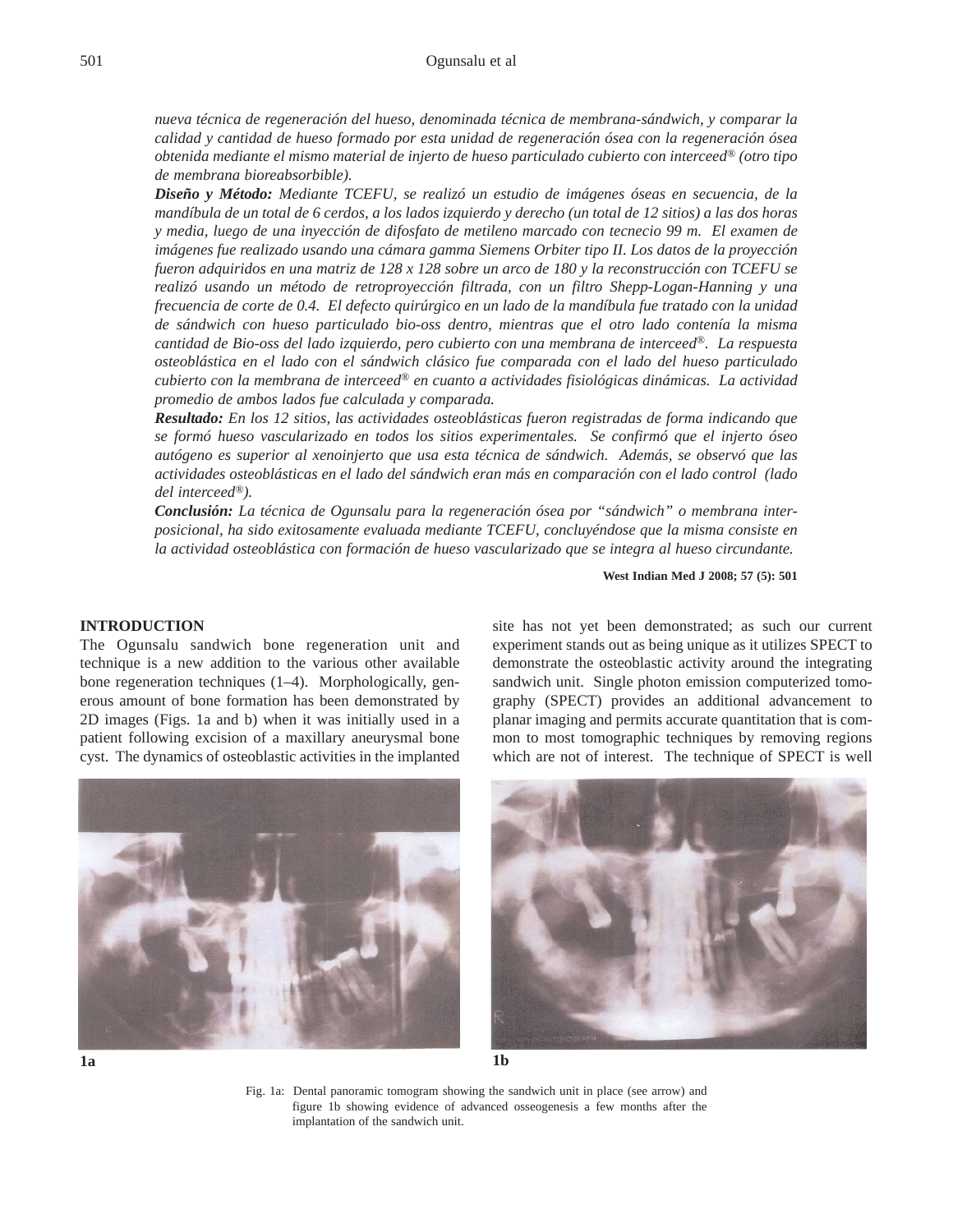*nueva técnica de regeneración del hueso, denominada técnica de membrana-sándwich, y comparar la calidad y cantidad de hueso formado por esta unidad de regeneración ósea con la regeneración ósea obtenida mediante el mismo material de injerto de hueso particulado cubierto con interceed® (otro tipo de membrana bioreabsorbible).* 

*Diseño y Método: Mediante TCEFU, se realizó un estudio de imágenes óseas en secuencia, de la mandíbula de un total de 6 cerdos, a los lados izquierdo y derecho (un total de 12 sitios) a las dos horas y media, luego de una inyección de difosfato de metileno marcado con tecnecio 99 m. El examen de imágenes fue realizado usando una cámara gamma Siemens Orbiter tipo II. Los datos de la proyección fueron adquiridos en una matriz de 128 x 128 sobre un arco de 180 y la reconstrucción con TCEFU se realizó usando un método de retroproyección filtrada, con un filtro Shepp-Logan-Hanning y una frecuencia de corte de 0.4. El defecto quirúrgico en un lado de la mandíbula fue tratado con la unidad de sándwich con hueso particulado bio-oss dentro, mientras que el otro lado contenía la misma cantidad de Bio-oss del lado izquierdo, pero cubierto con una membrana de interceed®. La respuesta osteoblástica en el lado con el sándwich clásico fue comparada con el lado del hueso particulado cubierto con la membrana de interceed® en cuanto a actividades fisiológicas dinámicas. La actividad promedio de ambos lados fue calculada y comparada.* 

*Resultado: En los 12 sitios, las actividades osteoblásticas fueron registradas de forma indicando que se formó hueso vascularizado en todos los sitios experimentales. Se confirmó que el injerto óseo autógeno es superior al xenoinjerto que usa esta técnica de sándwich. Además, se observó que las actividades osteoblásticas en el lado del sándwich eran más en comparación con el lado control (lado del interceed®).*

*Conclusión: La técnica de Ogunsalu para la regeneración ósea por "sándwich" o membrana interposicional, ha sido exitosamente evaluada mediante TCEFU, concluyéndose que la misma consiste en la actividad osteoblástica con formación de hueso vascularizado que se integra al hueso circundante.*

**West Indian Med J 2008; 57 (5): 501**

## **INTRODUCTION**

The Ogunsalu sandwich bone regeneration unit and technique is a new addition to the various other available bone regeneration techniques (1–4). Morphologically, generous amount of bone formation has been demonstrated by 2D images (Figs. 1a and b) when it was initially used in a patient following excision of a maxillary aneurysmal bone cyst. The dynamics of osteoblastic activities in the implanted

site has not yet been demonstrated; as such our current experiment stands out as being unique as it utilizes SPECT to demonstrate the osteoblastic activity around the integrating sandwich unit. Single photon emission computerized tomography (SPECT) provides an additional advancement to planar imaging and permits accurate quantitation that is common to most tomographic techniques by removing regions which are not of interest. The technique of SPECT is well





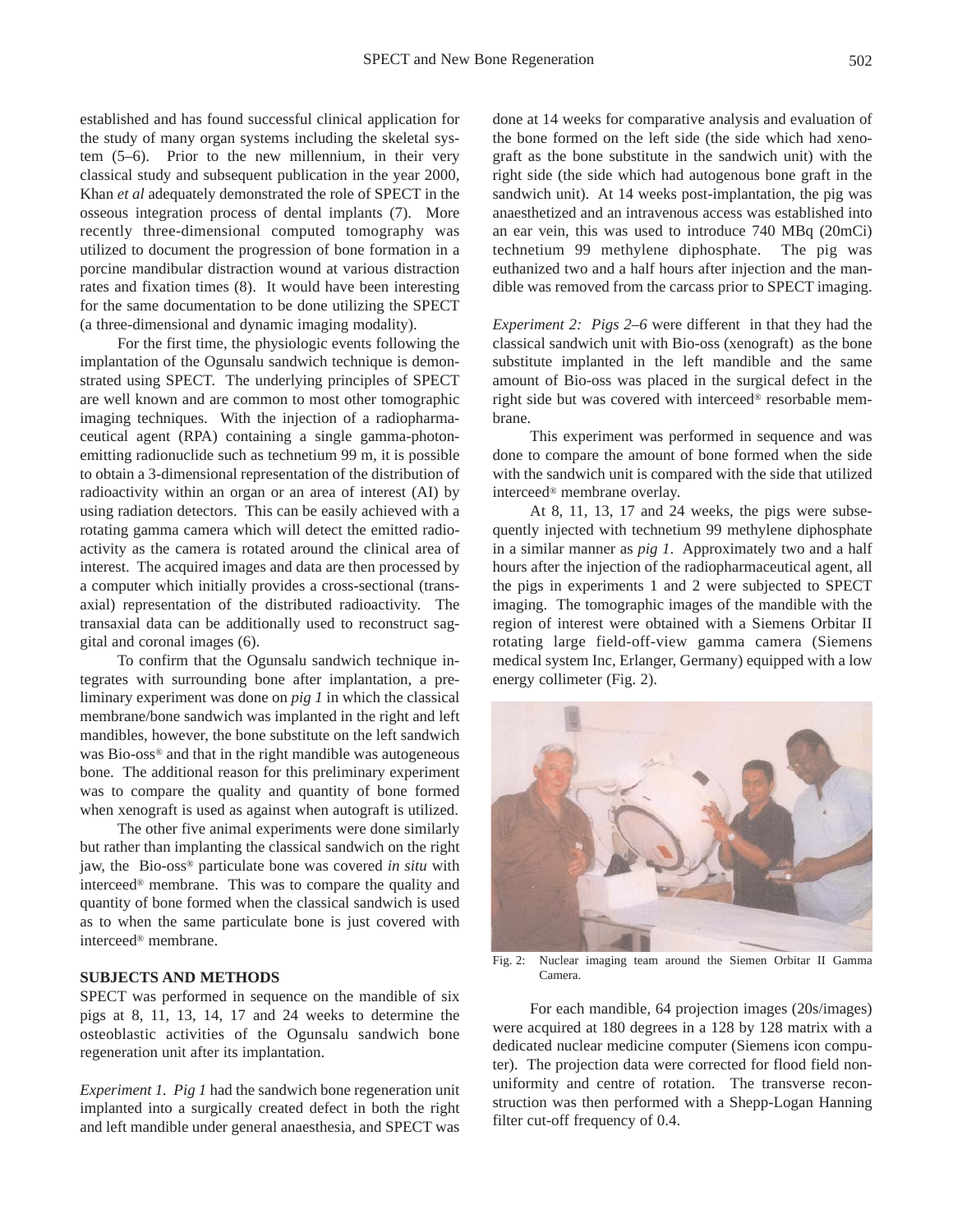established and has found successful clinical application for the study of many organ systems including the skeletal system (5–6). Prior to the new millennium, in their very classical study and subsequent publication in the year 2000, Khan *et al* adequately demonstrated the role of SPECT in the osseous integration process of dental implants (7). More recently three-dimensional computed tomography was utilized to document the progression of bone formation in a porcine mandibular distraction wound at various distraction rates and fixation times (8). It would have been interesting for the same documentation to be done utilizing the SPECT (a three-dimensional and dynamic imaging modality).

For the first time, the physiologic events following the implantation of the Ogunsalu sandwich technique is demonstrated using SPECT. The underlying principles of SPECT are well known and are common to most other tomographic imaging techniques. With the injection of a radiopharmaceutical agent (RPA) containing a single gamma-photonemitting radionuclide such as technetium 99 m, it is possible to obtain a 3-dimensional representation of the distribution of radioactivity within an organ or an area of interest (AI) by using radiation detectors. This can be easily achieved with a rotating gamma camera which will detect the emitted radioactivity as the camera is rotated around the clinical area of interest. The acquired images and data are then processed by a computer which initially provides a cross-sectional (transaxial) representation of the distributed radioactivity. The transaxial data can be additionally used to reconstruct saggital and coronal images (6).

To confirm that the Ogunsalu sandwich technique integrates with surrounding bone after implantation, a preliminary experiment was done on *pig 1* in which the classical membrane/bone sandwich was implanted in the right and left mandibles, however, the bone substitute on the left sandwich was Bio-oss® and that in the right mandible was autogeneous bone. The additional reason for this preliminary experiment was to compare the quality and quantity of bone formed when xenograft is used as against when autograft is utilized.

The other five animal experiments were done similarly but rather than implanting the classical sandwich on the right jaw, the Bio-oss® particulate bone was covered *in situ* with interceed® membrane. This was to compare the quality and quantity of bone formed when the classical sandwich is used as to when the same particulate bone is just covered with interceed® membrane.

## **SUBJECTS AND METHODS**

SPECT was performed in sequence on the mandible of six pigs at 8, 11, 13, 14, 17 and 24 weeks to determine the osteoblastic activities of the Ogunsalu sandwich bone regeneration unit after its implantation.

*Experiment 1. Pig 1* had the sandwich bone regeneration unit implanted into a surgically created defect in both the right and left mandible under general anaesthesia, and SPECT was

done at 14 weeks for comparative analysis and evaluation of the bone formed on the left side (the side which had xenograft as the bone substitute in the sandwich unit) with the right side (the side which had autogenous bone graft in the sandwich unit). At 14 weeks post-implantation, the pig was anaesthetized and an intravenous access was established into an ear vein, this was used to introduce 740 MBq (20mCi) technetium 99 methylene diphosphate. The pig was euthanized two and a half hours after injection and the mandible was removed from the carcass prior to SPECT imaging.

*Experiment 2: Pigs 2–6* were different in that they had the classical sandwich unit with Bio-oss (xenograft) as the bone substitute implanted in the left mandible and the same amount of Bio-oss was placed in the surgical defect in the right side but was covered with interceed® resorbable membrane.

This experiment was performed in sequence and was done to compare the amount of bone formed when the side with the sandwich unit is compared with the side that utilized interceed® membrane overlay.

At 8, 11, 13, 17 and 24 weeks, the pigs were subsequently injected with technetium 99 methylene diphosphate in a similar manner as *pig 1*. Approximately two and a half hours after the injection of the radiopharmaceutical agent, all the pigs in experiments 1 and 2 were subjected to SPECT imaging. The tomographic images of the mandible with the region of interest were obtained with a Siemens Orbitar II rotating large field-off-view gamma camera (Siemens medical system Inc, Erlanger, Germany) equipped with a low energy collimeter (Fig. 2).



Fig. 2: Nuclear imaging team around the Siemen Orbitar II Gamma Camera.

For each mandible, 64 projection images (20s/images) were acquired at 180 degrees in a 128 by 128 matrix with a dedicated nuclear medicine computer (Siemens icon computer). The projection data were corrected for flood field nonuniformity and centre of rotation. The transverse reconstruction was then performed with a Shepp-Logan Hanning filter cut-off frequency of 0.4.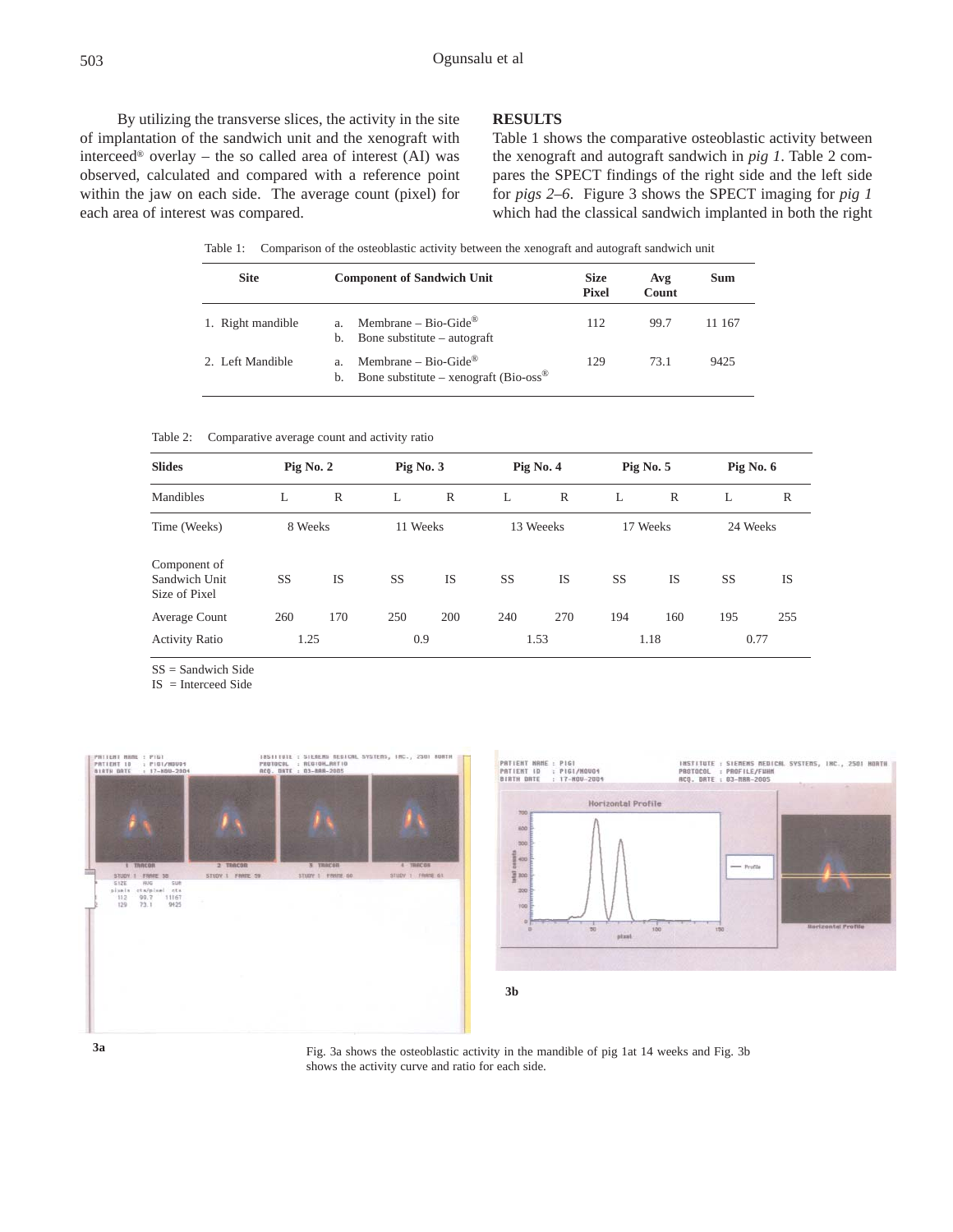By utilizing the transverse slices, the activity in the site of implantation of the sandwich unit and the xenograft with interceed® overlay – the so called area of interest (AI) was observed, calculated and compared with a reference point within the jaw on each side. The average count (pixel) for each area of interest was compared.

### **RESULTS**

Table 1 shows the comparative osteoblastic activity between the xenograft and autograft sandwich in *pig 1*. Table 2 compares the SPECT findings of the right side and the left side for *pigs 2–6*. Figure 3 shows the SPECT imaging for *pig 1* which had the classical sandwich implanted in both the right

Table 1: Comparison of the osteoblastic activity between the xenograft and autograft sandwich unit

| <b>Site</b>       | <b>Component of Sandwich Unit</b>                                                           | <b>Size</b><br><b>Pixel</b> | Avg<br>Count | Sum    |  |
|-------------------|---------------------------------------------------------------------------------------------|-----------------------------|--------------|--------|--|
| 1. Right mandible | Membrane – Bio-Gide <sup>®</sup><br>Bone substitute – autograft<br>b.                       | 112                         | 99.7         | 11 167 |  |
| 2. Left Mandible  | Membrane – Bio-Gide <sup>®</sup><br>Bone substitute – xenograft (Bio-oss <sup>®</sup><br>b. | 129                         | 73.1         | 9425   |  |

Table 2: Comparative average count and activity ratio

| <b>Slides</b><br><b>Mandibles</b>              | Pig No. $2$ |           | Pig No. $3$ |           | Pig No. 4 |           | Pig No. 5 |           | Pig No. 6 |           |
|------------------------------------------------|-------------|-----------|-------------|-----------|-----------|-----------|-----------|-----------|-----------|-----------|
|                                                | L           | R         | L           | R         | L         | R         | L         | R         | L         | R         |
| Time (Weeks)                                   | 8 Weeks     |           | 11 Weeks    |           | 13 Weeeks |           | 17 Weeks  |           | 24 Weeks  |           |
| Component of<br>Sandwich Unit<br>Size of Pixel | <b>SS</b>   | <b>IS</b> | SS          | <b>IS</b> | <b>SS</b> | <b>IS</b> | <b>SS</b> | <b>IS</b> | <b>SS</b> | <b>IS</b> |
| Average Count                                  | 260         | 170       | 250         | 200       | 240       | 270       | 194       | 160       | 195       | 255       |
| <b>Activity Ratio</b>                          | 1.25        |           | 0.9         |           | 1.53      |           | 1.18      |           | 0.77      |           |

SS = Sandwich Side

IS = Interceed Side









Fig. 3a shows the osteoblastic activity in the mandible of pig 1at 14 weeks and Fig. 3b shows the activity curve and ratio for each side.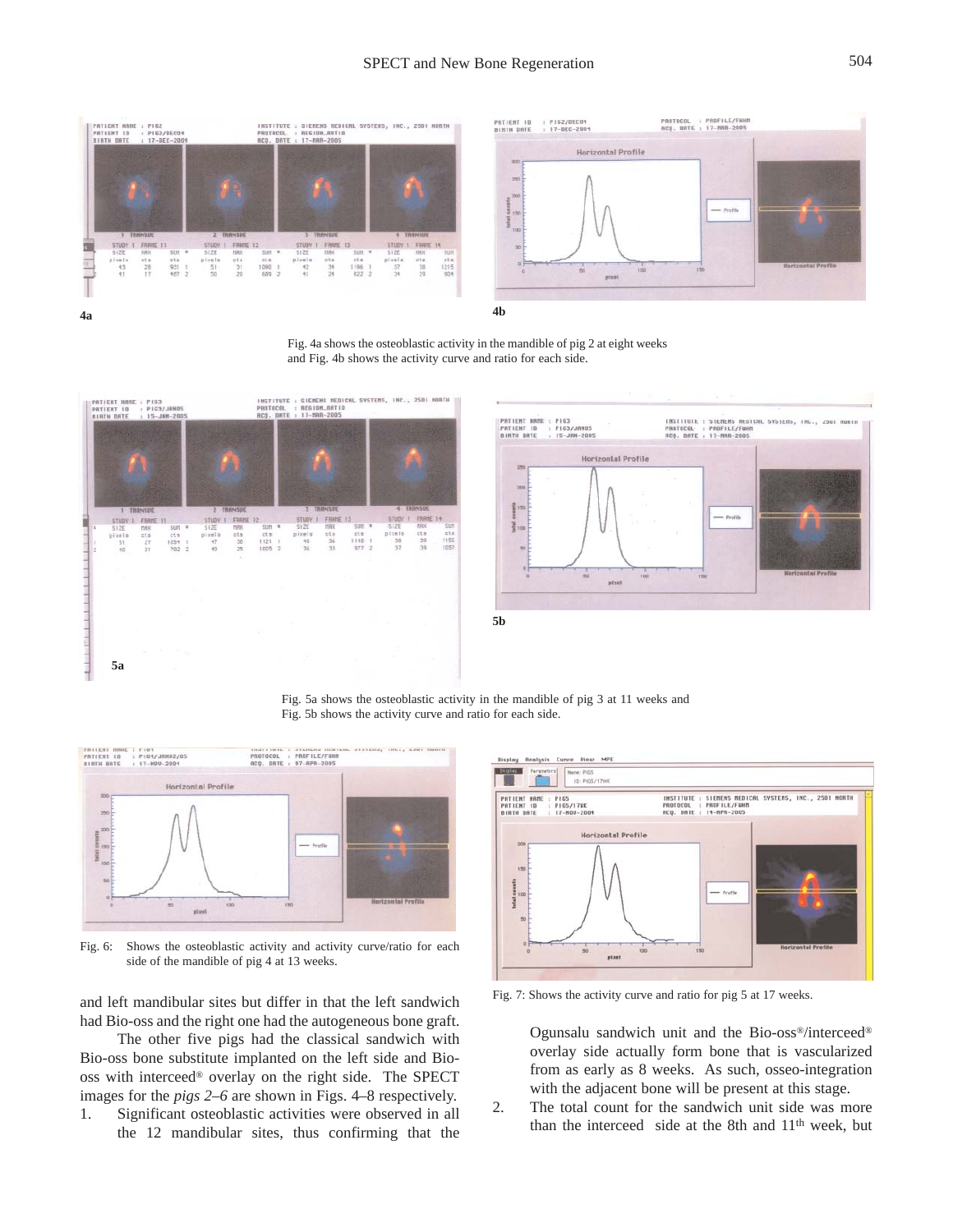

Fig. 4a shows the osteoblastic activity in the mandible of pig 2 at eight weeks and Fig. 4b shows the activity curve and ratio for each side.





Fig. 5a shows the osteoblastic activity in the mandible of pig 3 at 11 weeks and Fig. 5b shows the activity curve and ratio for each side.



Fig. 6: Shows the osteoblastic activity and activity curve/ratio for each side of the mandible of pig 4 at 13 weeks.

and left mandibular sites but differ in that the left sandwich had Bio-oss and the right one had the autogeneous bone graft.

The other five pigs had the classical sandwich with Bio-oss bone substitute implanted on the left side and Biooss with interceed® overlay on the right side. The SPECT images for the *pigs 2–6* are shown in Figs. 4–8 respectively.

1. Significant osteoblastic activities were observed in all the 12 mandibular sites, thus confirming that the



Fig. 7: Shows the activity curve and ratio for pig 5 at 17 weeks.

Ogunsalu sandwich unit and the Bio-oss®/interceed® overlay side actually form bone that is vascularized from as early as 8 weeks. As such, osseo-integration with the adjacent bone will be present at this stage.

2. The total count for the sandwich unit side was more than the interceed side at the 8th and 11<sup>th</sup> week, but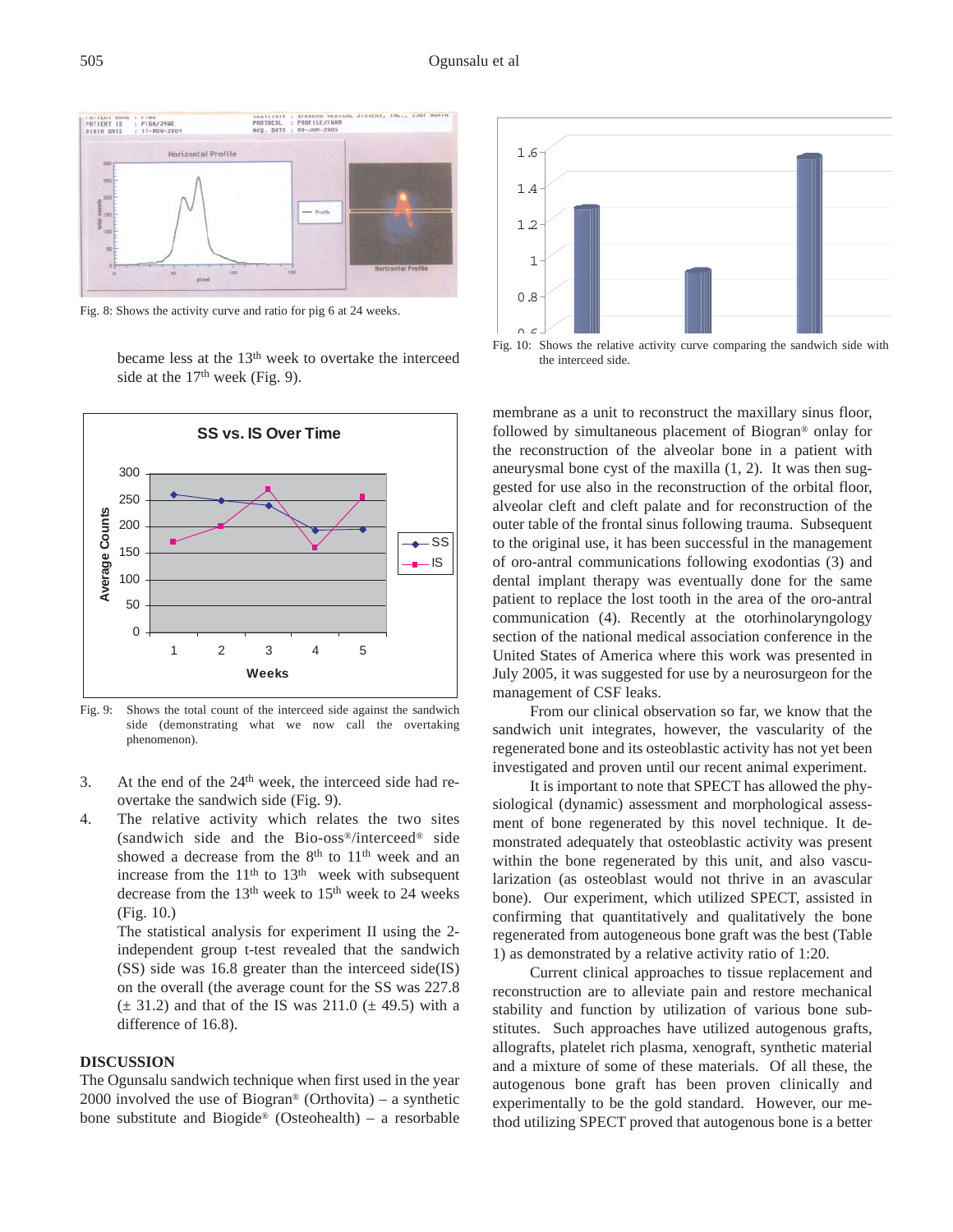

Fig. 8: Shows the activity curve and ratio for pig 6 at 24 weeks.



became less at the 13<sup>th</sup> week to overtake the interceed side at the  $17<sup>th</sup>$  week (Fig. 9).

Fig. 9: Shows the total count of the interceed side against the sandwich side (demonstrating what we now call the overtaking phenomenon).

- 3. At the end of the  $24<sup>th</sup>$  week, the interceed side had reovertake the sandwich side (Fig. 9).
- 4. The relative activity which relates the two sites (sandwich side and the Bio-oss®/interceed® side showed a decrease from the 8<sup>th</sup> to 11<sup>th</sup> week and an increase from the  $11<sup>th</sup>$  to  $13<sup>th</sup>$  week with subsequent decrease from the 13<sup>th</sup> week to 15<sup>th</sup> week to 24 weeks (Fig. 10.)

The statistical analysis for experiment II using the 2 independent group t-test revealed that the sandwich (SS) side was 16.8 greater than the interceed side(IS) on the overall (the average count for the SS was 227.8  $(\pm 31.2)$  and that of the IS was 211.0  $(\pm 49.5)$  with a difference of 16.8).

## **DISCUSSION**

The Ogunsalu sandwich technique when first used in the year 2000 involved the use of Biogran<sup>®</sup> (Orthovita) – a synthetic bone substitute and Biogide® (Osteohealth) – a resorbable





membrane as a unit to reconstruct the maxillary sinus floor, followed by simultaneous placement of Biogran® onlay for the reconstruction of the alveolar bone in a patient with aneurysmal bone cyst of the maxilla (1, 2). It was then suggested for use also in the reconstruction of the orbital floor, alveolar cleft and cleft palate and for reconstruction of the outer table of the frontal sinus following trauma. Subsequent to the original use, it has been successful in the management of oro-antral communications following exodontias (3) and dental implant therapy was eventually done for the same patient to replace the lost tooth in the area of the oro-antral communication (4). Recently at the otorhinolaryngology section of the national medical association conference in the United States of America where this work was presented in July 2005, it was suggested for use by a neurosurgeon for the management of CSF leaks.

From our clinical observation so far, we know that the sandwich unit integrates, however, the vascularity of the regenerated bone and its osteoblastic activity has not yet been investigated and proven until our recent animal experiment.

It is important to note that SPECT has allowed the physiological (dynamic) assessment and morphological assessment of bone regenerated by this novel technique. It demonstrated adequately that osteoblastic activity was present within the bone regenerated by this unit, and also vascularization (as osteoblast would not thrive in an avascular bone). Our experiment, which utilized SPECT, assisted in confirming that quantitatively and qualitatively the bone regenerated from autogeneous bone graft was the best (Table 1) as demonstrated by a relative activity ratio of 1:20.

Current clinical approaches to tissue replacement and reconstruction are to alleviate pain and restore mechanical stability and function by utilization of various bone substitutes. Such approaches have utilized autogenous grafts, allografts, platelet rich plasma, xenograft, synthetic material and a mixture of some of these materials. Of all these, the autogenous bone graft has been proven clinically and experimentally to be the gold standard. However, our method utilizing SPECT proved that autogenous bone is a better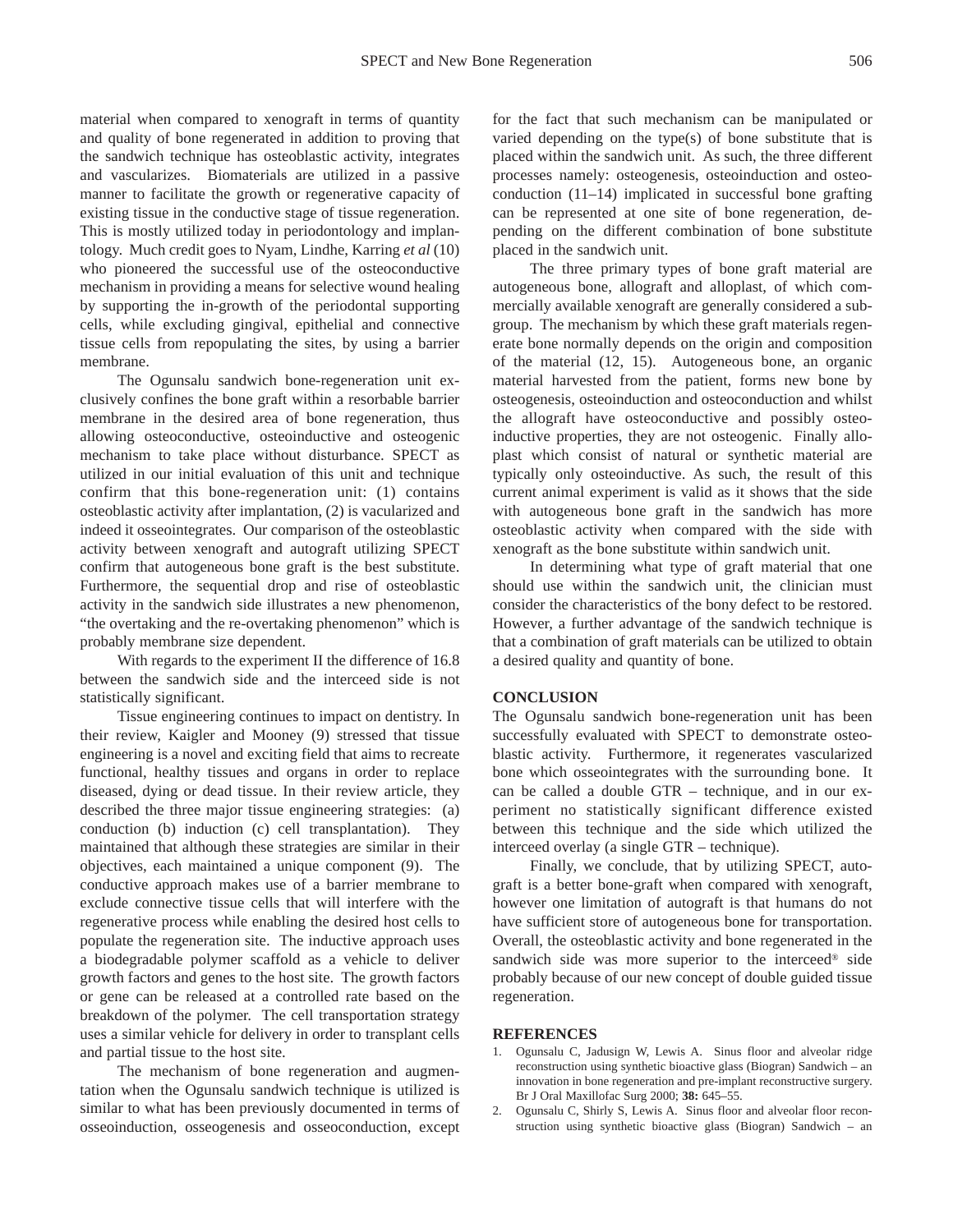material when compared to xenograft in terms of quantity and quality of bone regenerated in addition to proving that the sandwich technique has osteoblastic activity, integrates and vascularizes. Biomaterials are utilized in a passive manner to facilitate the growth or regenerative capacity of existing tissue in the conductive stage of tissue regeneration. This is mostly utilized today in periodontology and implantology. Much credit goes to Nyam, Lindhe, Karring *et al* (10) who pioneered the successful use of the osteoconductive mechanism in providing a means for selective wound healing by supporting the in-growth of the periodontal supporting cells, while excluding gingival, epithelial and connective tissue cells from repopulating the sites, by using a barrier membrane.

The Ogunsalu sandwich bone-regeneration unit exclusively confines the bone graft within a resorbable barrier membrane in the desired area of bone regeneration, thus allowing osteoconductive, osteoinductive and osteogenic mechanism to take place without disturbance. SPECT as utilized in our initial evaluation of this unit and technique confirm that this bone-regeneration unit: (1) contains osteoblastic activity after implantation, (2) is vacularized and indeed it osseointegrates. Our comparison of the osteoblastic activity between xenograft and autograft utilizing SPECT confirm that autogeneous bone graft is the best substitute. Furthermore, the sequential drop and rise of osteoblastic activity in the sandwich side illustrates a new phenomenon, "the overtaking and the re-overtaking phenomenon" which is probably membrane size dependent.

With regards to the experiment II the difference of 16.8 between the sandwich side and the interceed side is not statistically significant.

Tissue engineering continues to impact on dentistry. In their review, Kaigler and Mooney (9) stressed that tissue engineering is a novel and exciting field that aims to recreate functional, healthy tissues and organs in order to replace diseased, dying or dead tissue. In their review article, they described the three major tissue engineering strategies: (a) conduction (b) induction (c) cell transplantation). They maintained that although these strategies are similar in their objectives, each maintained a unique component (9). The conductive approach makes use of a barrier membrane to exclude connective tissue cells that will interfere with the regenerative process while enabling the desired host cells to populate the regeneration site. The inductive approach uses a biodegradable polymer scaffold as a vehicle to deliver growth factors and genes to the host site. The growth factors or gene can be released at a controlled rate based on the breakdown of the polymer. The cell transportation strategy uses a similar vehicle for delivery in order to transplant cells and partial tissue to the host site.

The mechanism of bone regeneration and augmentation when the Ogunsalu sandwich technique is utilized is similar to what has been previously documented in terms of osseoinduction, osseogenesis and osseoconduction, except

for the fact that such mechanism can be manipulated or varied depending on the type(s) of bone substitute that is placed within the sandwich unit. As such, the three different processes namely: osteogenesis, osteoinduction and osteoconduction (11–14) implicated in successful bone grafting can be represented at one site of bone regeneration, depending on the different combination of bone substitute placed in the sandwich unit.

The three primary types of bone graft material are autogeneous bone, allograft and alloplast, of which commercially available xenograft are generally considered a subgroup. The mechanism by which these graft materials regenerate bone normally depends on the origin and composition of the material (12, 15). Autogeneous bone, an organic material harvested from the patient, forms new bone by osteogenesis, osteoinduction and osteoconduction and whilst the allograft have osteoconductive and possibly osteoinductive properties, they are not osteogenic. Finally alloplast which consist of natural or synthetic material are typically only osteoinductive. As such, the result of this current animal experiment is valid as it shows that the side with autogeneous bone graft in the sandwich has more osteoblastic activity when compared with the side with xenograft as the bone substitute within sandwich unit.

In determining what type of graft material that one should use within the sandwich unit, the clinician must consider the characteristics of the bony defect to be restored. However, a further advantage of the sandwich technique is that a combination of graft materials can be utilized to obtain a desired quality and quantity of bone.

#### **CONCLUSION**

The Ogunsalu sandwich bone-regeneration unit has been successfully evaluated with SPECT to demonstrate osteoblastic activity. Furthermore, it regenerates vascularized bone which osseointegrates with the surrounding bone. It can be called a double GTR – technique, and in our experiment no statistically significant difference existed between this technique and the side which utilized the interceed overlay (a single GTR – technique).

Finally, we conclude, that by utilizing SPECT, autograft is a better bone-graft when compared with xenograft, however one limitation of autograft is that humans do not have sufficient store of autogeneous bone for transportation. Overall, the osteoblastic activity and bone regenerated in the sandwich side was more superior to the interceed® side probably because of our new concept of double guided tissue regeneration.

### **REFERENCES**

- 1. Ogunsalu C, Jadusign W, Lewis A. Sinus floor and alveolar ridge reconstruction using synthetic bioactive glass (Biogran) Sandwich – an innovation in bone regeneration and pre-implant reconstructive surgery. Br J Oral Maxillofac Surg 2000; **38:** 645–55.
- 2. Ogunsalu C, Shirly S, Lewis A. Sinus floor and alveolar floor reconstruction using synthetic bioactive glass (Biogran) Sandwich – an